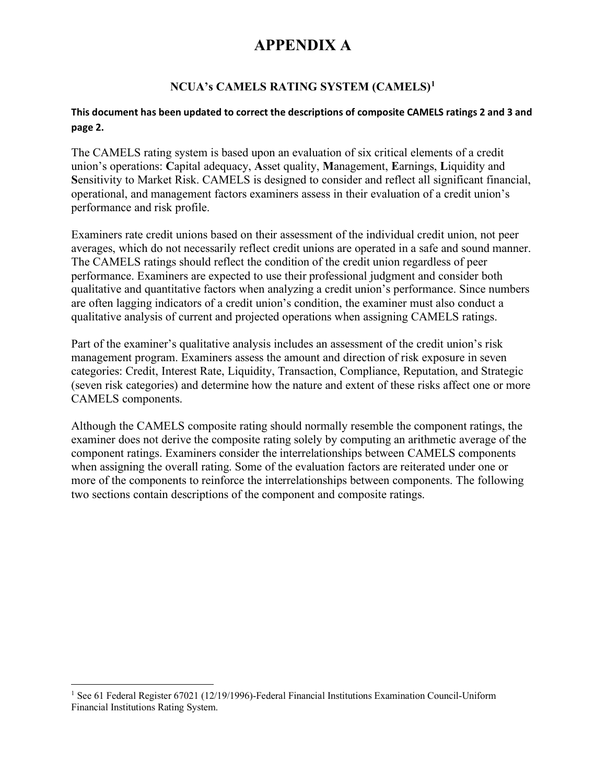### **NCUA's CAMELS RATING SYSTEM (CAMELS)[1](#page-0-0)**

#### **This document has been updated to correct the descriptions of composite CAMELS ratings 2 and 3 and page 2.**

The CAMELS rating system is based upon an evaluation of six critical elements of a credit union's operations: **C**apital adequacy, **A**sset quality, **M**anagement, **E**arnings, **L**iquidity and **S**ensitivity to Market Risk. CAMELS is designed to consider and reflect all significant financial, operational, and management factors examiners assess in their evaluation of a credit union's performance and risk profile.

Examiners rate credit unions based on their assessment of the individual credit union, not peer averages, which do not necessarily reflect credit unions are operated in a safe and sound manner. The CAMELS ratings should reflect the condition of the credit union regardless of peer performance. Examiners are expected to use their professional judgment and consider both qualitative and quantitative factors when analyzing a credit union's performance. Since numbers are often lagging indicators of a credit union's condition, the examiner must also conduct a qualitative analysis of current and projected operations when assigning CAMELS ratings.

Part of the examiner's qualitative analysis includes an assessment of the credit union's risk management program. Examiners assess the amount and direction of risk exposure in seven categories: Credit, Interest Rate, Liquidity, Transaction, Compliance, Reputation, and Strategic (seven risk categories) and determine how the nature and extent of these risks affect one or more CAMELS components.

Although the CAMELS composite rating should normally resemble the component ratings, the examiner does not derive the composite rating solely by computing an arithmetic average of the component ratings. Examiners consider the interrelationships between CAMELS components when assigning the overall rating. Some of the evaluation factors are reiterated under one or more of the components to reinforce the interrelationships between components. The following two sections contain descriptions of the component and composite ratings.

<span id="page-0-0"></span><sup>&</sup>lt;sup>1</sup> See 61 Federal Register 67021 (12/19/1996)-Federal Financial Institutions Examination Council-Uniform Financial Institutions Rating System.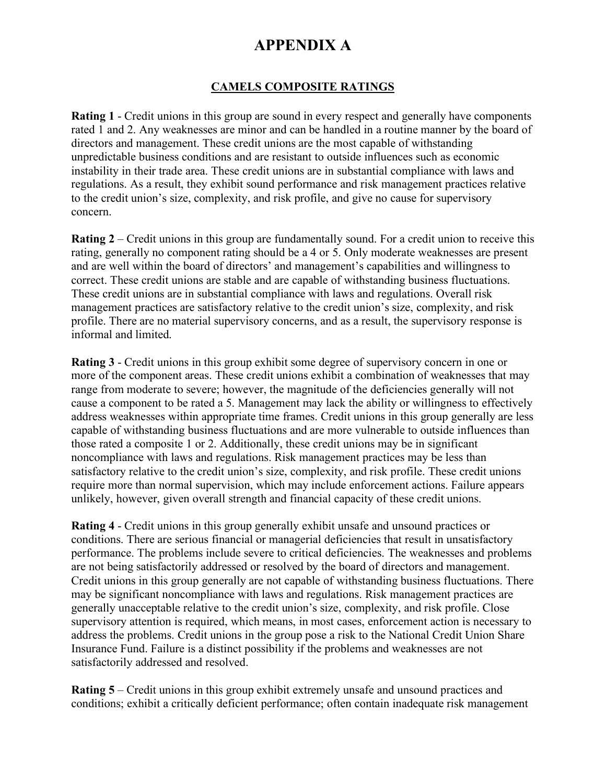### **CAMELS COMPOSITE RATINGS**

**Rating 1** - Credit unions in this group are sound in every respect and generally have components rated 1 and 2. Any weaknesses are minor and can be handled in a routine manner by the board of directors and management. These credit unions are the most capable of withstanding unpredictable business conditions and are resistant to outside influences such as economic instability in their trade area. These credit unions are in substantial compliance with laws and regulations. As a result, they exhibit sound performance and risk management practices relative to the credit union's size, complexity, and risk profile, and give no cause for supervisory concern.

**Rating 2** – Credit unions in this group are fundamentally sound. For a credit union to receive this rating, generally no component rating should be a 4 or 5. Only moderate weaknesses are present and are well within the board of directors' and management's capabilities and willingness to correct. These credit unions are stable and are capable of withstanding business fluctuations. These credit unions are in substantial compliance with laws and regulations. Overall risk management practices are satisfactory relative to the credit union's size, complexity, and risk profile. There are no material supervisory concerns, and as a result, the supervisory response is informal and limited.

**Rating 3** - Credit unions in this group exhibit some degree of supervisory concern in one or more of the component areas. These credit unions exhibit a combination of weaknesses that may range from moderate to severe; however, the magnitude of the deficiencies generally will not cause a component to be rated a 5. Management may lack the ability or willingness to effectively address weaknesses within appropriate time frames. Credit unions in this group generally are less capable of withstanding business fluctuations and are more vulnerable to outside influences than those rated a composite 1 or 2. Additionally, these credit unions may be in significant noncompliance with laws and regulations. Risk management practices may be less than satisfactory relative to the credit union's size, complexity, and risk profile. These credit unions require more than normal supervision, which may include enforcement actions. Failure appears unlikely, however, given overall strength and financial capacity of these credit unions.

**Rating 4** - Credit unions in this group generally exhibit unsafe and unsound practices or conditions. There are serious financial or managerial deficiencies that result in unsatisfactory performance. The problems include severe to critical deficiencies. The weaknesses and problems are not being satisfactorily addressed or resolved by the board of directors and management. Credit unions in this group generally are not capable of withstanding business fluctuations. There may be significant noncompliance with laws and regulations. Risk management practices are generally unacceptable relative to the credit union's size, complexity, and risk profile. Close supervisory attention is required, which means, in most cases, enforcement action is necessary to address the problems. Credit unions in the group pose a risk to the National Credit Union Share Insurance Fund. Failure is a distinct possibility if the problems and weaknesses are not satisfactorily addressed and resolved.

**Rating 5** – Credit unions in this group exhibit extremely unsafe and unsound practices and conditions; exhibit a critically deficient performance; often contain inadequate risk management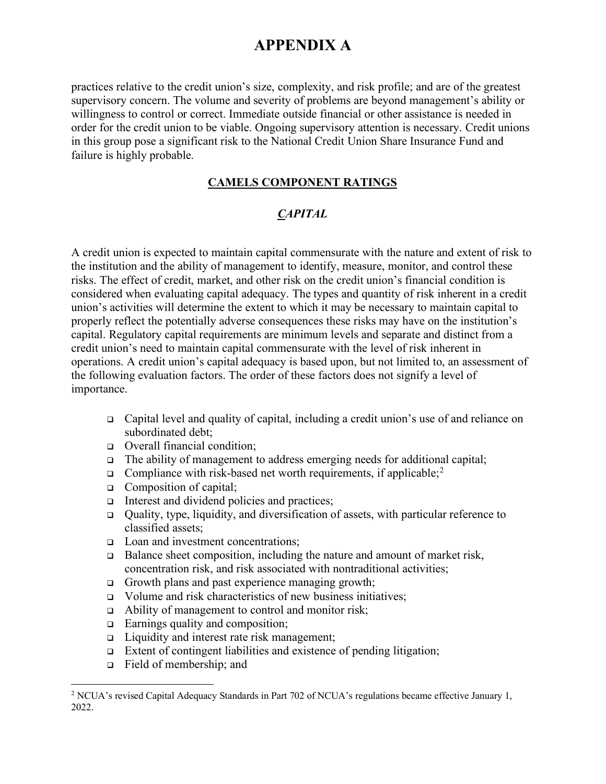practices relative to the credit union's size, complexity, and risk profile; and are of the greatest supervisory concern. The volume and severity of problems are beyond management's ability or willingness to control or correct. Immediate outside financial or other assistance is needed in order for the credit union to be viable. Ongoing supervisory attention is necessary. Credit unions in this group pose a significant risk to the National Credit Union Share Insurance Fund and failure is highly probable.

#### **CAMELS COMPONENT RATINGS**

### *CAPITAL*

A credit union is expected to maintain capital commensurate with the nature and extent of risk to the institution and the ability of management to identify, measure, monitor, and control these risks. The effect of credit, market, and other risk on the credit union's financial condition is considered when evaluating capital adequacy. The types and quantity of risk inherent in a credit union's activities will determine the extent to which it may be necessary to maintain capital to properly reflect the potentially adverse consequences these risks may have on the institution's capital. Regulatory capital requirements are minimum levels and separate and distinct from a credit union's need to maintain capital commensurate with the level of risk inherent in operations. A credit union's capital adequacy is based upon, but not limited to, an assessment of the following evaluation factors. The order of these factors does not signify a level of importance.

- Capital level and quality of capital, including a credit union's use of and reliance on subordinated debt;
- Overall financial condition;
- $\Box$  The ability of management to address emerging needs for additional capital;
- **Compliance with risk-based net worth requirements, if applicable;**<sup>[2](#page-2-0)</sup>
- □ Composition of capital;
- Interest and dividend policies and practices;
- Quality, type, liquidity, and diversification of assets, with particular reference to classified assets;
- □ Loan and investment concentrations;
- $\Box$  Balance sheet composition, including the nature and amount of market risk, concentration risk, and risk associated with nontraditional activities;
- Growth plans and past experience managing growth;
- □ Volume and risk characteristics of new business initiatives;
- □ Ability of management to control and monitor risk;
- $\Box$  Earnings quality and composition;
- □ Liquidity and interest rate risk management;
- Extent of contingent liabilities and existence of pending litigation;
- Field of membership; and

<span id="page-2-0"></span><sup>2</sup> NCUA's revised Capital Adequacy Standards in Part 702 of NCUA's regulations became effective January 1, 2022.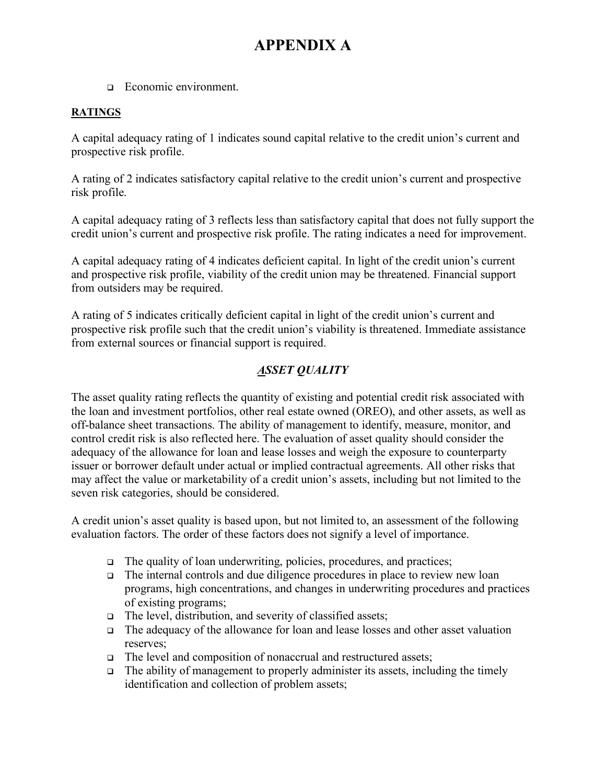□ Economic environment.

#### **RATINGS**

A capital adequacy rating of 1 indicates sound capital relative to the credit union's current and prospective risk profile.

A rating of 2 indicates satisfactory capital relative to the credit union's current and prospective risk profile.

A capital adequacy rating of 3 reflects less than satisfactory capital that does not fully support the credit union's current and prospective risk profile. The rating indicates a need for improvement.

A capital adequacy rating of 4 indicates deficient capital. In light of the credit union's current and prospective risk profile, viability of the credit union may be threatened. Financial support from outsiders may be required.

A rating of 5 indicates critically deficient capital in light of the credit union's current and prospective risk profile such that the credit union's viability is threatened. Immediate assistance from external sources or financial support is required.

### *ASSET QUALITY*

The asset quality rating reflects the quantity of existing and potential credit risk associated with the loan and investment portfolios, other real estate owned (OREO), and other assets, as well as off-balance sheet transactions. The ability of management to identify, measure, monitor, and control credit risk is also reflected here. The evaluation of asset quality should consider the adequacy of the allowance for loan and lease losses and weigh the exposure to counterparty issuer or borrower default under actual or implied contractual agreements. All other risks that may affect the value or marketability of a credit union's assets, including but not limited to the seven risk categories, should be considered.

A credit union's asset quality is based upon, but not limited to, an assessment of the following evaluation factors. The order of these factors does not signify a level of importance.

- $\Box$  The quality of loan underwriting, policies, procedures, and practices;
- The internal controls and due diligence procedures in place to review new loan programs, high concentrations, and changes in underwriting procedures and practices of existing programs;
- $\Box$  The level, distribution, and severity of classified assets;
- The adequacy of the allowance for loan and lease losses and other asset valuation reserves;
- $\Box$  The level and composition of nonaccrual and restructured assets;
- $\Box$  The ability of management to properly administer its assets, including the timely identification and collection of problem assets;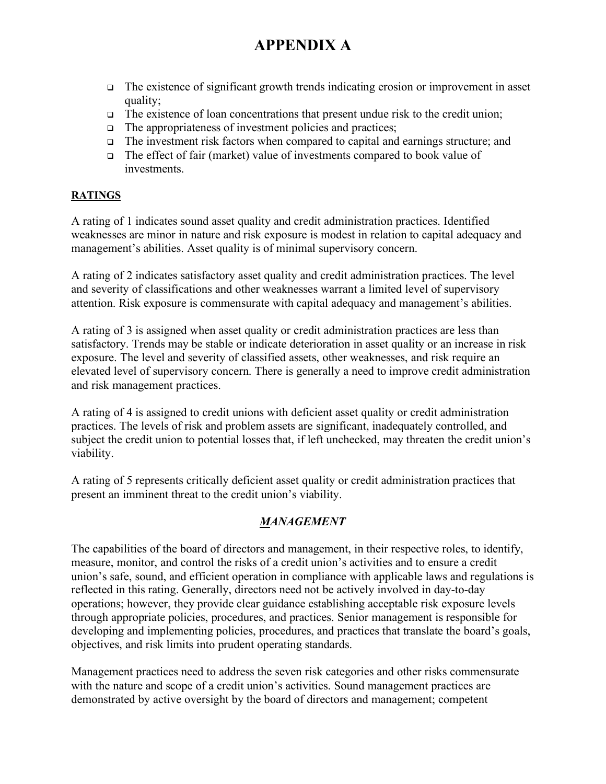- The existence of significant growth trends indicating erosion or improvement in asset quality;
- $\Box$  The existence of loan concentrations that present undue risk to the credit union;
- $\Box$  The appropriateness of investment policies and practices;
- The investment risk factors when compared to capital and earnings structure; and
- $\Box$  The effect of fair (market) value of investments compared to book value of investments.

### **RATINGS**

A rating of 1 indicates sound asset quality and credit administration practices. Identified weaknesses are minor in nature and risk exposure is modest in relation to capital adequacy and management's abilities. Asset quality is of minimal supervisory concern.

A rating of 2 indicates satisfactory asset quality and credit administration practices. The level and severity of classifications and other weaknesses warrant a limited level of supervisory attention. Risk exposure is commensurate with capital adequacy and management's abilities.

A rating of 3 is assigned when asset quality or credit administration practices are less than satisfactory. Trends may be stable or indicate deterioration in asset quality or an increase in risk exposure. The level and severity of classified assets, other weaknesses, and risk require an elevated level of supervisory concern. There is generally a need to improve credit administration and risk management practices.

A rating of 4 is assigned to credit unions with deficient asset quality or credit administration practices. The levels of risk and problem assets are significant, inadequately controlled, and subject the credit union to potential losses that, if left unchecked, may threaten the credit union's viability.

A rating of 5 represents critically deficient asset quality or credit administration practices that present an imminent threat to the credit union's viability.

### *MANAGEMENT*

The capabilities of the board of directors and management, in their respective roles, to identify, measure, monitor, and control the risks of a credit union's activities and to ensure a credit union's safe, sound, and efficient operation in compliance with applicable laws and regulations is reflected in this rating. Generally, directors need not be actively involved in day-to-day operations; however, they provide clear guidance establishing acceptable risk exposure levels through appropriate policies, procedures, and practices. Senior management is responsible for developing and implementing policies, procedures, and practices that translate the board's goals, objectives, and risk limits into prudent operating standards.

Management practices need to address the seven risk categories and other risks commensurate with the nature and scope of a credit union's activities. Sound management practices are demonstrated by active oversight by the board of directors and management; competent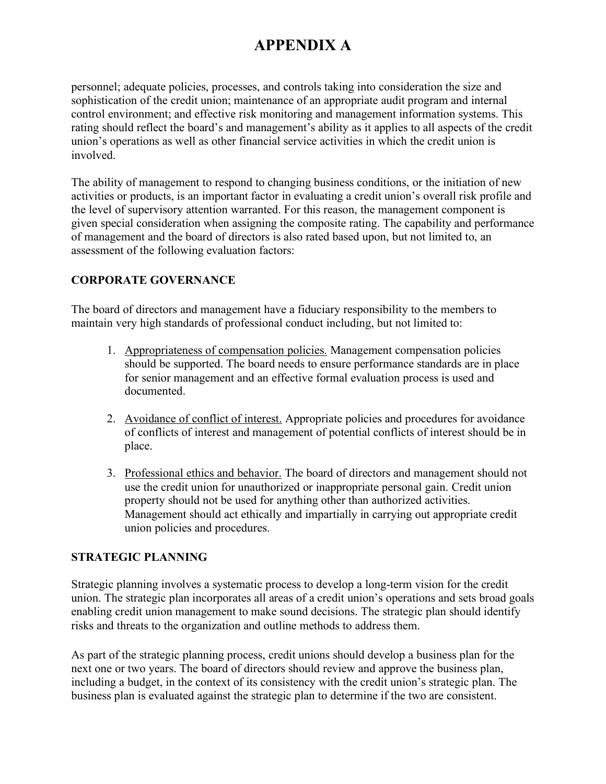personnel; adequate policies, processes, and controls taking into consideration the size and sophistication of the credit union; maintenance of an appropriate audit program and internal control environment; and effective risk monitoring and management information systems. This rating should reflect the board's and management's ability as it applies to all aspects of the credit union's operations as well as other financial service activities in which the credit union is involved.

The ability of management to respond to changing business conditions, or the initiation of new activities or products, is an important factor in evaluating a credit union's overall risk profile and the level of supervisory attention warranted. For this reason, the management component is given special consideration when assigning the composite rating. The capability and performance of management and the board of directors is also rated based upon, but not limited to, an assessment of the following evaluation factors:

### **CORPORATE GOVERNANCE**

The board of directors and management have a fiduciary responsibility to the members to maintain very high standards of professional conduct including, but not limited to:

- 1. Appropriateness of compensation policies. Management compensation policies should be supported. The board needs to ensure performance standards are in place for senior management and an effective formal evaluation process is used and documented.
- 2. Avoidance of conflict of interest. Appropriate policies and procedures for avoidance of conflicts of interest and management of potential conflicts of interest should be in place.
- 3. Professional ethics and behavior. The board of directors and management should not use the credit union for unauthorized or inappropriate personal gain. Credit union property should not be used for anything other than authorized activities. Management should act ethically and impartially in carrying out appropriate credit union policies and procedures.

#### **STRATEGIC PLANNING**

Strategic planning involves a systematic process to develop a long-term vision for the credit union. The strategic plan incorporates all areas of a credit union's operations and sets broad goals enabling credit union management to make sound decisions. The strategic plan should identify risks and threats to the organization and outline methods to address them.

As part of the strategic planning process, credit unions should develop a business plan for the next one or two years. The board of directors should review and approve the business plan, including a budget, in the context of its consistency with the credit union's strategic plan. The business plan is evaluated against the strategic plan to determine if the two are consistent.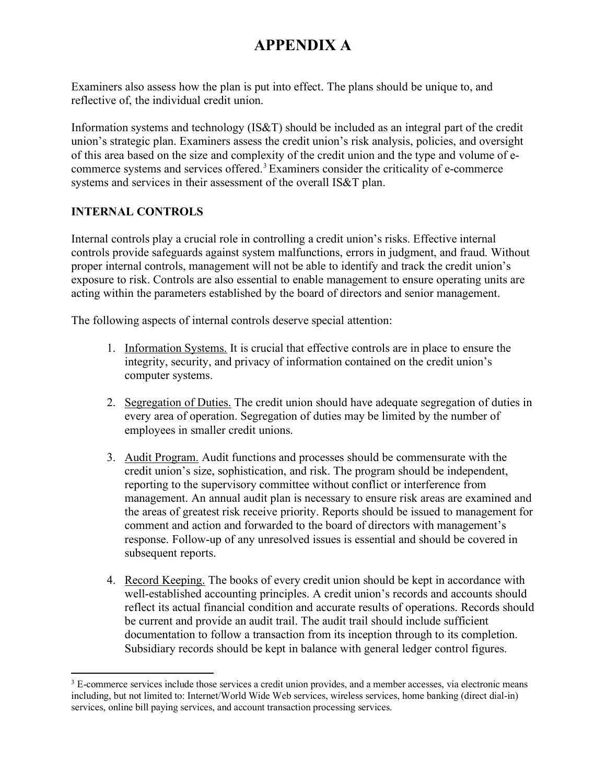Examiners also assess how the plan is put into effect. The plans should be unique to, and reflective of, the individual credit union.

Information systems and technology (IS&T) should be included as an integral part of the credit union's strategic plan. Examiners assess the credit union's risk analysis, policies, and oversight of this area based on the size and complexity of the credit union and the type and volume of ecommerce systems and services offered. [3](#page-6-0) Examiners consider the criticality of e-commerce systems and services in their assessment of the overall IS&T plan.

### **INTERNAL CONTROLS**

Internal controls play a crucial role in controlling a credit union's risks. Effective internal controls provide safeguards against system malfunctions, errors in judgment, and fraud. Without proper internal controls, management will not be able to identify and track the credit union's exposure to risk. Controls are also essential to enable management to ensure operating units are acting within the parameters established by the board of directors and senior management.

The following aspects of internal controls deserve special attention:

- 1. Information Systems. It is crucial that effective controls are in place to ensure the integrity, security, and privacy of information contained on the credit union's computer systems.
- 2. Segregation of Duties. The credit union should have adequate segregation of duties in every area of operation. Segregation of duties may be limited by the number of employees in smaller credit unions.
- 3. Audit Program. Audit functions and processes should be commensurate with the credit union's size, sophistication, and risk. The program should be independent, reporting to the supervisory committee without conflict or interference from management. An annual audit plan is necessary to ensure risk areas are examined and the areas of greatest risk receive priority. Reports should be issued to management for comment and action and forwarded to the board of directors with management's response. Follow-up of any unresolved issues is essential and should be covered in subsequent reports.
- 4. Record Keeping. The books of every credit union should be kept in accordance with well-established accounting principles. A credit union's records and accounts should reflect its actual financial condition and accurate results of operations. Records should be current and provide an audit trail. The audit trail should include sufficient documentation to follow a transaction from its inception through to its completion. Subsidiary records should be kept in balance with general ledger control figures.

<span id="page-6-0"></span> $3 \text{ E-commerce services include those services a credit union provides, and a member accesses, via electronic means }$ including, but not limited to: Internet/World Wide Web services, wireless services, home banking (direct dial-in) services, online bill paying services, and account transaction processing services.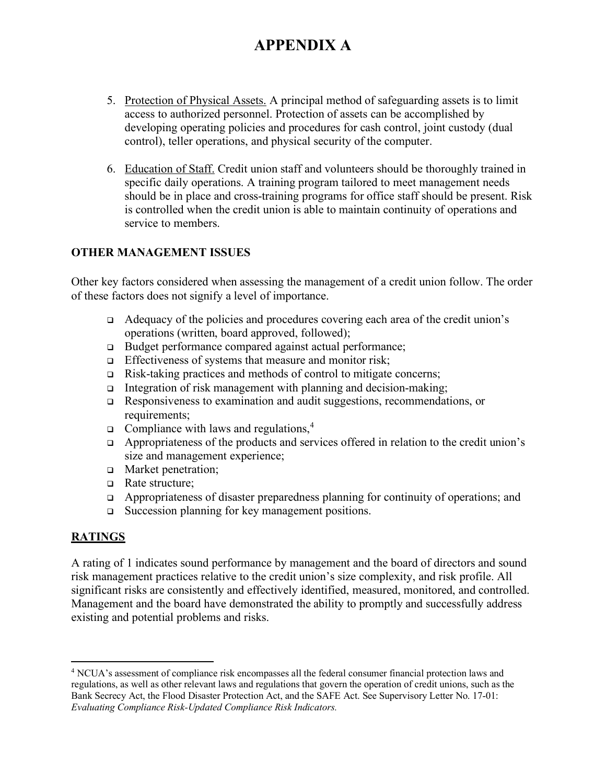- 5. Protection of Physical Assets. A principal method of safeguarding assets is to limit access to authorized personnel. Protection of assets can be accomplished by developing operating policies and procedures for cash control, joint custody (dual control), teller operations, and physical security of the computer.
- 6. Education of Staff. Credit union staff and volunteers should be thoroughly trained in specific daily operations. A training program tailored to meet management needs should be in place and cross-training programs for office staff should be present. Risk is controlled when the credit union is able to maintain continuity of operations and service to members.

### **OTHER MANAGEMENT ISSUES**

Other key factors considered when assessing the management of a credit union follow. The order of these factors does not signify a level of importance.

- Adequacy of the policies and procedures covering each area of the credit union's operations (written, board approved, followed);
- □ Budget performance compared against actual performance;
- $\Box$  Effectiveness of systems that measure and monitor risk;
- $\Box$  Risk-taking practices and methods of control to mitigate concerns;
- Integration of risk management with planning and decision-making;
- Responsiveness to examination and audit suggestions, recommendations, or requirements:
- $\Box$  Compliance with laws and regulations,<sup>[4](#page-7-0)</sup>
- $\Box$  Appropriateness of the products and services offered in relation to the credit union's size and management experience;
- **D** Market penetration:
- □ Rate structure:
- $\Box$  Appropriateness of disaster preparedness planning for continuity of operations; and
- $\Box$  Succession planning for key management positions.

### **RATINGS**

A rating of 1 indicates sound performance by management and the board of directors and sound risk management practices relative to the credit union's size complexity, and risk profile. All significant risks are consistently and effectively identified, measured, monitored, and controlled. Management and the board have demonstrated the ability to promptly and successfully address existing and potential problems and risks.

<span id="page-7-0"></span><sup>4</sup> NCUA's assessment of compliance risk encompasses all the federal consumer financial protection laws and regulations, as well as other relevant laws and regulations that govern the operation of credit unions, such as the Bank Secrecy Act, the Flood Disaster Protection Act, and the SAFE Act. See Supervisory Letter No. 17-01: *Evaluating Compliance Risk-Updated Compliance Risk Indicators.*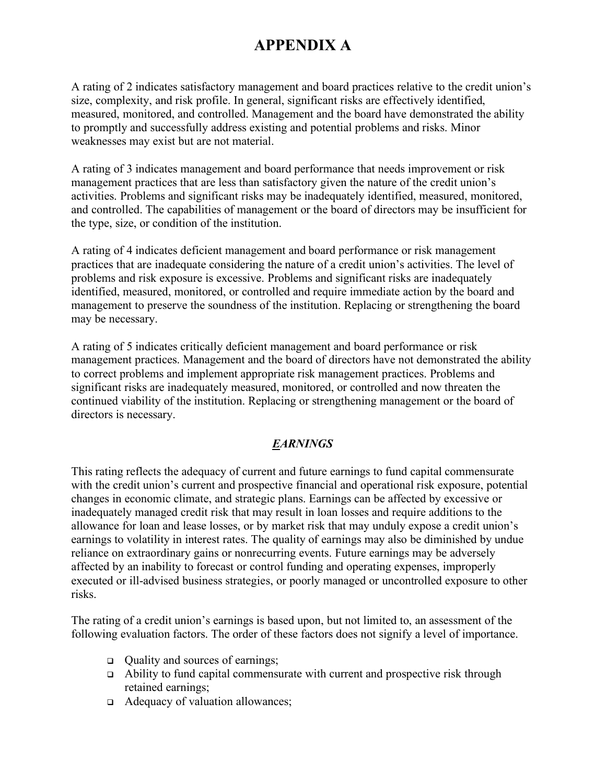A rating of 2 indicates satisfactory management and board practices relative to the credit union's size, complexity, and risk profile. In general, significant risks are effectively identified, measured, monitored, and controlled. Management and the board have demonstrated the ability to promptly and successfully address existing and potential problems and risks. Minor weaknesses may exist but are not material.

A rating of 3 indicates management and board performance that needs improvement or risk management practices that are less than satisfactory given the nature of the credit union's activities. Problems and significant risks may be inadequately identified, measured, monitored, and controlled. The capabilities of management or the board of directors may be insufficient for the type, size, or condition of the institution.

A rating of 4 indicates deficient management and board performance or risk management practices that are inadequate considering the nature of a credit union's activities. The level of problems and risk exposure is excessive. Problems and significant risks are inadequately identified, measured, monitored, or controlled and require immediate action by the board and management to preserve the soundness of the institution. Replacing or strengthening the board may be necessary.

A rating of 5 indicates critically deficient management and board performance or risk management practices. Management and the board of directors have not demonstrated the ability to correct problems and implement appropriate risk management practices. Problems and significant risks are inadequately measured, monitored, or controlled and now threaten the continued viability of the institution. Replacing or strengthening management or the board of directors is necessary.

### *EARNINGS*

This rating reflects the adequacy of current and future earnings to fund capital commensurate with the credit union's current and prospective financial and operational risk exposure, potential changes in economic climate, and strategic plans. Earnings can be affected by excessive or inadequately managed credit risk that may result in loan losses and require additions to the allowance for loan and lease losses, or by market risk that may unduly expose a credit union's earnings to volatility in interest rates. The quality of earnings may also be diminished by undue reliance on extraordinary gains or nonrecurring events. Future earnings may be adversely affected by an inability to forecast or control funding and operating expenses, improperly executed or ill-advised business strategies, or poorly managed or uncontrolled exposure to other risks.

The rating of a credit union's earnings is based upon, but not limited to, an assessment of the following evaluation factors. The order of these factors does not signify a level of importance.

- □ Ouality and sources of earnings;
- Ability to fund capital commensurate with current and prospective risk through retained earnings;
- Adequacy of valuation allowances;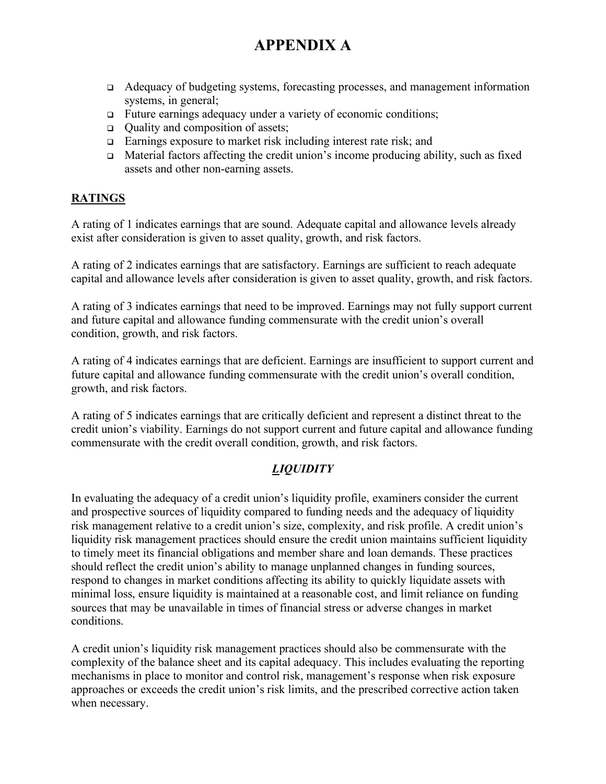- Adequacy of budgeting systems, forecasting processes, and management information systems, in general;
- Future earnings adequacy under a variety of economic conditions;
- $\Box$  Ouality and composition of assets;
- $\Box$  Earnings exposure to market risk including interest rate risk; and
- $\Box$  Material factors affecting the credit union's income producing ability, such as fixed assets and other non-earning assets.

#### **RATINGS**

A rating of 1 indicates earnings that are sound. Adequate capital and allowance levels already exist after consideration is given to asset quality, growth, and risk factors.

A rating of 2 indicates earnings that are satisfactory. Earnings are sufficient to reach adequate capital and allowance levels after consideration is given to asset quality, growth, and risk factors.

A rating of 3 indicates earnings that need to be improved. Earnings may not fully support current and future capital and allowance funding commensurate with the credit union's overall condition, growth, and risk factors.

A rating of 4 indicates earnings that are deficient. Earnings are insufficient to support current and future capital and allowance funding commensurate with the credit union's overall condition, growth, and risk factors.

A rating of 5 indicates earnings that are critically deficient and represent a distinct threat to the credit union's viability. Earnings do not support current and future capital and allowance funding commensurate with the credit overall condition, growth, and risk factors.

### *LIQUIDITY*

In evaluating the adequacy of a credit union's liquidity profile, examiners consider the current and prospective sources of liquidity compared to funding needs and the adequacy of liquidity risk management relative to a credit union's size, complexity, and risk profile. A credit union's liquidity risk management practices should ensure the credit union maintains sufficient liquidity to timely meet its financial obligations and member share and loan demands. These practices should reflect the credit union's ability to manage unplanned changes in funding sources, respond to changes in market conditions affecting its ability to quickly liquidate assets with minimal loss, ensure liquidity is maintained at a reasonable cost, and limit reliance on funding sources that may be unavailable in times of financial stress or adverse changes in market conditions.

A credit union's liquidity risk management practices should also be commensurate with the complexity of the balance sheet and its capital adequacy. This includes evaluating the reporting mechanisms in place to monitor and control risk, management's response when risk exposure approaches or exceeds the credit union's risk limits, and the prescribed corrective action taken when necessary.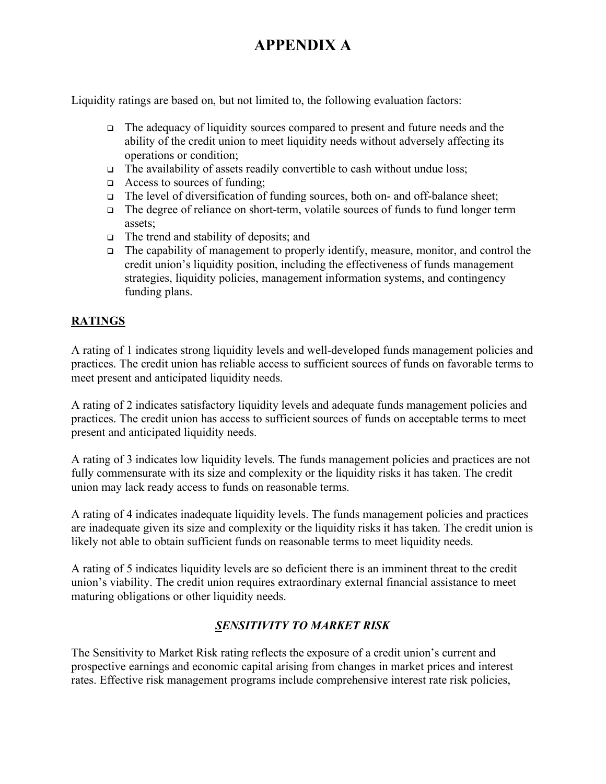Liquidity ratings are based on, but not limited to, the following evaluation factors:

- The adequacy of liquidity sources compared to present and future needs and the ability of the credit union to meet liquidity needs without adversely affecting its operations or condition;
- $\Box$  The availability of assets readily convertible to cash without undue loss;
- $\Box$  Access to sources of funding:
- The level of diversification of funding sources, both on- and off-balance sheet;
- The degree of reliance on short-term, volatile sources of funds to fund longer term assets;
- $\Box$  The trend and stability of deposits; and
- The capability of management to properly identify, measure, monitor, and control the credit union's liquidity position, including the effectiveness of funds management strategies, liquidity policies, management information systems, and contingency funding plans.

### **RATINGS**

A rating of 1 indicates strong liquidity levels and well-developed funds management policies and practices. The credit union has reliable access to sufficient sources of funds on favorable terms to meet present and anticipated liquidity needs.

A rating of 2 indicates satisfactory liquidity levels and adequate funds management policies and practices. The credit union has access to sufficient sources of funds on acceptable terms to meet present and anticipated liquidity needs.

A rating of 3 indicates low liquidity levels. The funds management policies and practices are not fully commensurate with its size and complexity or the liquidity risks it has taken. The credit union may lack ready access to funds on reasonable terms.

A rating of 4 indicates inadequate liquidity levels. The funds management policies and practices are inadequate given its size and complexity or the liquidity risks it has taken. The credit union is likely not able to obtain sufficient funds on reasonable terms to meet liquidity needs.

A rating of 5 indicates liquidity levels are so deficient there is an imminent threat to the credit union's viability. The credit union requires extraordinary external financial assistance to meet maturing obligations or other liquidity needs.

### *SENSITIVITY TO MARKET RISK*

The Sensitivity to Market Risk rating reflects the exposure of a credit union's current and prospective earnings and economic capital arising from changes in market prices and interest rates. Effective risk management programs include comprehensive interest rate risk policies,